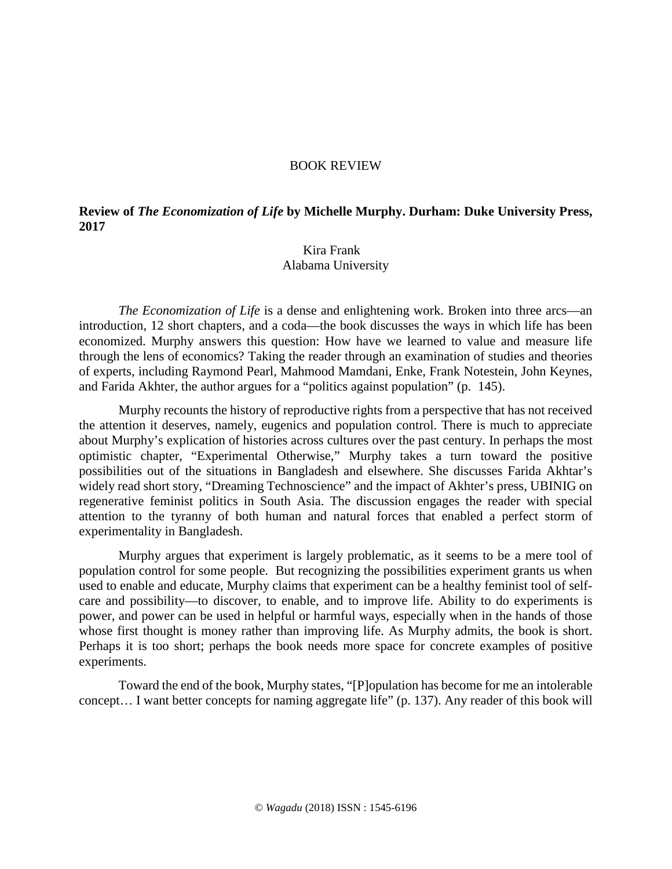## BOOK REVIEW

## **Review of** *The Economization of Life* **by Michelle Murphy. Durham: Duke University Press, 2017**

## Kira Frank Alabama University

*The Economization of Life* is a dense and enlightening work. Broken into three arcs—an introduction, 12 short chapters, and a coda—the book discusses the ways in which life has been economized. Murphy answers this question: How have we learned to value and measure life through the lens of economics? Taking the reader through an examination of studies and theories of experts, including Raymond Pearl, Mahmood Mamdani, Enke, Frank Notestein, John Keynes, and Farida Akhter, the author argues for a "politics against population" (p. 145).

Murphy recounts the history of reproductive rights from a perspective that has not received the attention it deserves, namely, eugenics and population control. There is much to appreciate about Murphy's explication of histories across cultures over the past century. In perhaps the most optimistic chapter, "Experimental Otherwise," Murphy takes a turn toward the positive possibilities out of the situations in Bangladesh and elsewhere. She discusses Farida Akhtar's widely read short story, "Dreaming Technoscience" and the impact of Akhter's press, UBINIG on regenerative feminist politics in South Asia. The discussion engages the reader with special attention to the tyranny of both human and natural forces that enabled a perfect storm of experimentality in Bangladesh.

Murphy argues that experiment is largely problematic, as it seems to be a mere tool of population control for some people. But recognizing the possibilities experiment grants us when used to enable and educate, Murphy claims that experiment can be a healthy feminist tool of selfcare and possibility—to discover, to enable, and to improve life. Ability to do experiments is power, and power can be used in helpful or harmful ways, especially when in the hands of those whose first thought is money rather than improving life. As Murphy admits, the book is short. Perhaps it is too short; perhaps the book needs more space for concrete examples of positive experiments.

Toward the end of the book, Murphy states, "[P]opulation has become for me an intolerable concept… I want better concepts for naming aggregate life" (p. 137). Any reader of this book will